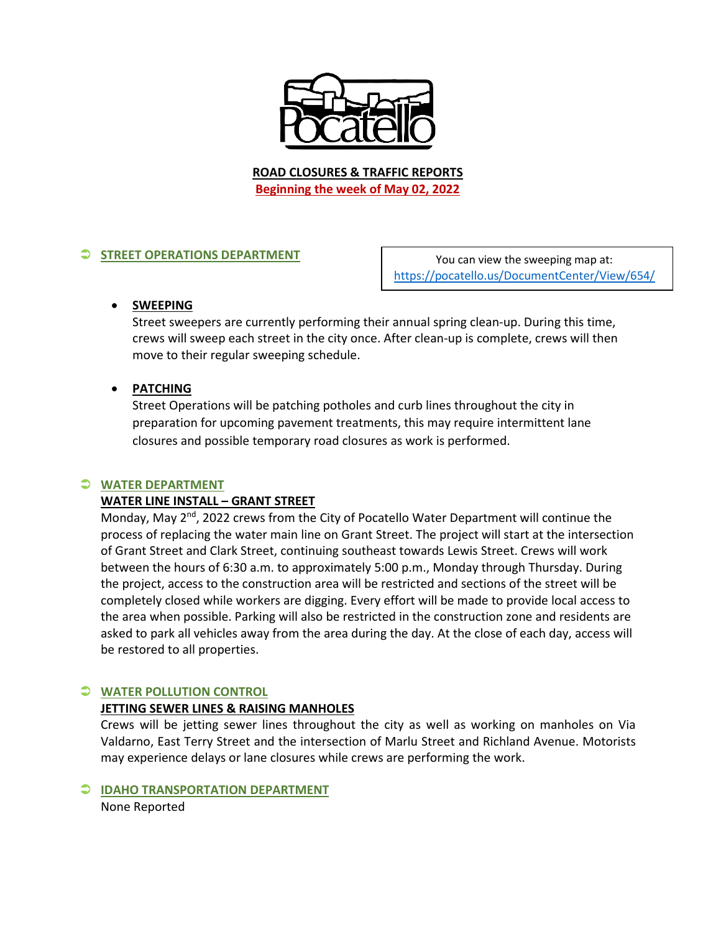

**ROAD CLOSURES & TRAFFIC REPORTS Beginning the week of May 02, 2022**

## **STREET OPERATIONS DEPARTMENT**

You can view the sweeping map at: <https://pocatello.us/DocumentCenter/View/654/>

#### • **SWEEPING**

Street sweepers are currently performing their annual spring clean-up. During this time, crews will sweep each street in the city once. After clean-up is complete, crews will then move to their regular sweeping schedule.

## • **PATCHING**

Street Operations will be patching potholes and curb lines throughout the city in preparation for upcoming pavement treatments, this may require intermittent lane closures and possible temporary road closures as work is performed.

#### **WATER DEPARTMENT**

#### **WATER LINE INSTALL – GRANT STREET**

Monday, May 2<sup>nd</sup>, 2022 crews from the City of Pocatello Water Department will continue the process of replacing the water main line on Grant Street. The project will start at the intersection of Grant Street and Clark Street, continuing southeast towards Lewis Street. Crews will work between the hours of 6:30 a.m. to approximately 5:00 p.m., Monday through Thursday. During the project, access to the construction area will be restricted and sections of the street will be completely closed while workers are digging. Every effort will be made to provide local access to the area when possible. Parking will also be restricted in the construction zone and residents are asked to park all vehicles away from the area during the day. At the close of each day, access will be restored to all properties.

#### **WATER POLLUTION CONTROL**

#### **JETTING SEWER LINES & RAISING MANHOLES**

Crews will be jetting sewer lines throughout the city as well as working on manholes on Via Valdarno, East Terry Street and the intersection of Marlu Street and Richland Avenue. Motorists may experience delays or lane closures while crews are performing the work.

#### **IDAHO TRANSPORTATION DEPARTMENT**

None Reported